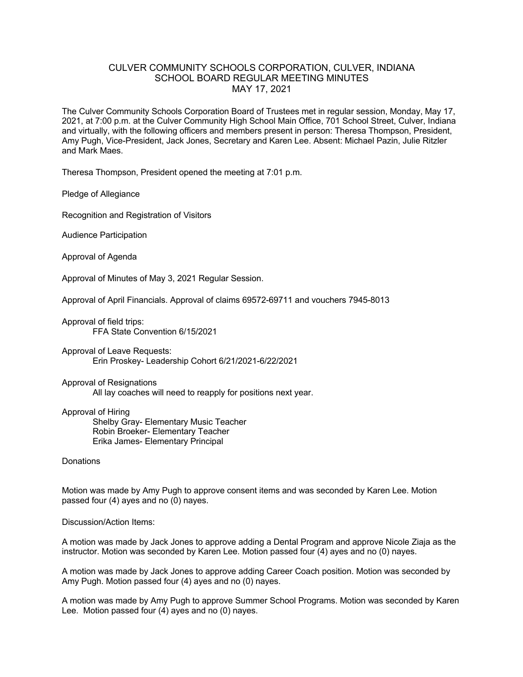## CULVER COMMUNITY SCHOOLS CORPORATION, CULVER, INDIANA SCHOOL BOARD REGULAR MEETING MINUTES MAY 17, 2021

The Culver Community Schools Corporation Board of Trustees met in regular session, Monday, May 17, 2021, at 7:00 p.m. at the Culver Community High School Main Office, 701 School Street, Culver, Indiana and virtually, with the following officers and members present in person: Theresa Thompson, President, Amy Pugh, Vice-President, Jack Jones, Secretary and Karen Lee. Absent: Michael Pazin, Julie Ritzler and Mark Maes.

Theresa Thompson, President opened the meeting at 7:01 p.m.

Pledge of Allegiance

Recognition and Registration of Visitors

Audience Participation

Approval of Agenda

Approval of Minutes of May 3, 2021 Regular Session.

Approval of April Financials. Approval of claims 69572-69711 and vouchers 7945-8013

Approval of field trips: FFA State Convention 6/15/2021

Approval of Leave Requests: Erin Proskey- Leadership Cohort 6/21/2021-6/22/2021

## Approval of Resignations All lay coaches will need to reapply for positions next year.

Approval of Hiring Shelby Gray- Elementary Music Teacher Robin Broeker- Elementary Teacher Erika James- Elementary Principal

**Donations** 

Motion was made by Amy Pugh to approve consent items and was seconded by Karen Lee. Motion passed four (4) ayes and no (0) nayes.

Discussion/Action Items:

A motion was made by Jack Jones to approve adding a Dental Program and approve Nicole Ziaja as the instructor. Motion was seconded by Karen Lee. Motion passed four (4) ayes and no (0) nayes.

A motion was made by Jack Jones to approve adding Career Coach position. Motion was seconded by Amy Pugh. Motion passed four (4) ayes and no (0) nayes.

A motion was made by Amy Pugh to approve Summer School Programs. Motion was seconded by Karen Lee. Motion passed four (4) ayes and no (0) nayes.